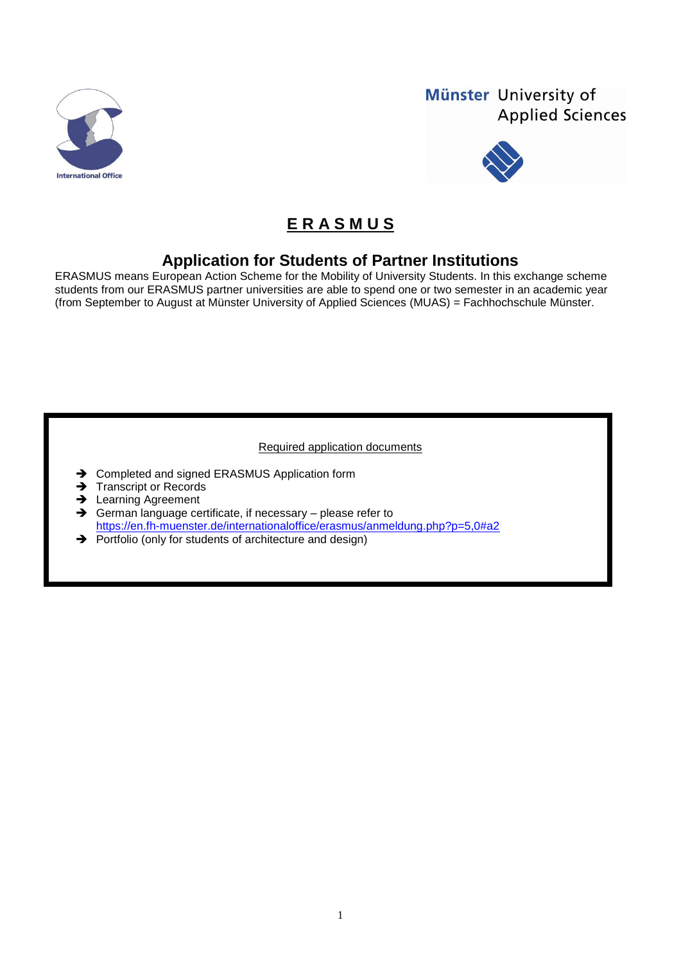

# Münster University of **Applied Sciences**



# **E R A S M U S**

# **Application for Students of Partner Institutions**

ERASMUS means European Action Scheme for the Mobility of University Students. In this exchange scheme students from our ERASMUS partner universities are able to spend one or two semester in an academic year (from September to August at Münster University of Applied Sciences (MUAS) = Fachhochschule Münster.

# Required application documents

- → Completed and signed ERASMUS Application form
- $\rightarrow$  Transcript or Records
- $\rightarrow$  Learning Agreement
- $\rightarrow$  German language certificate, if necessary please refer to <https://en.fh-muenster.de/internationaloffice/erasmus/anmeldung.php?p=5,0#a2>
- Portfolio (only for students of architecture and design)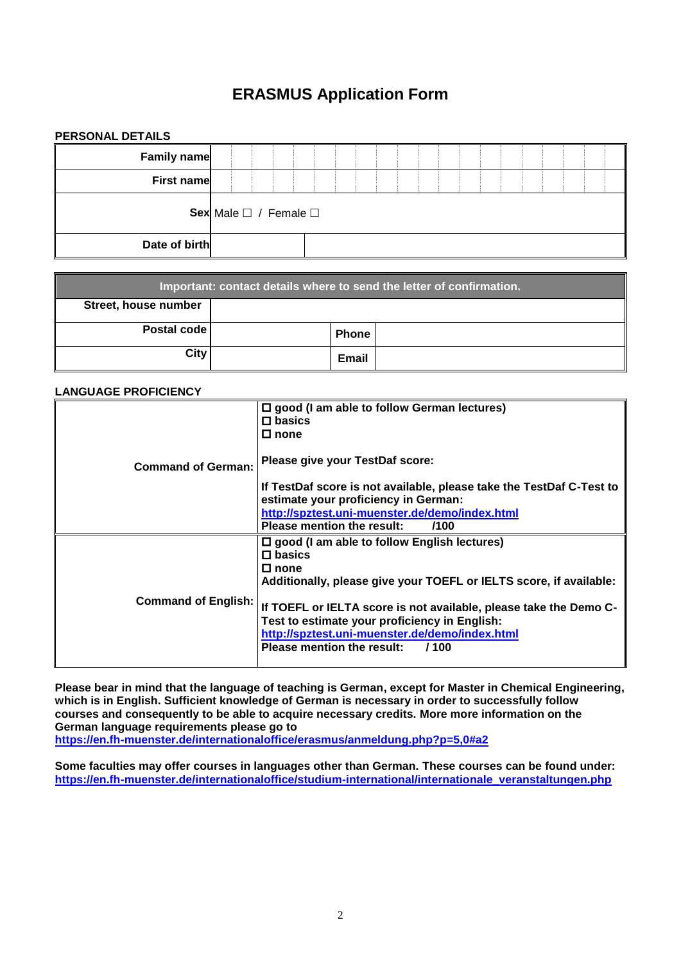# **ERASMUS Application Form**

| PERSONAL DETAILS   |                                 |  |  |  |  |  |  |  |  |  |
|--------------------|---------------------------------|--|--|--|--|--|--|--|--|--|
| <b>Family name</b> |                                 |  |  |  |  |  |  |  |  |  |
| First name         |                                 |  |  |  |  |  |  |  |  |  |
|                    | Sex Male $\Box$ / Female $\Box$ |  |  |  |  |  |  |  |  |  |
| Date of birth      |                                 |  |  |  |  |  |  |  |  |  |

| Important: contact details where to send the letter of confirmation. |  |              |  |  |  |  |  |
|----------------------------------------------------------------------|--|--------------|--|--|--|--|--|
| Street, house number                                                 |  |              |  |  |  |  |  |
| Postal code                                                          |  | <b>Phone</b> |  |  |  |  |  |
| <b>City</b>                                                          |  | Email        |  |  |  |  |  |

**LANGUAGE PROFICIENCY**

| <b>LANGUAGE PROFICIENCY</b> |                                                                                                              |
|-----------------------------|--------------------------------------------------------------------------------------------------------------|
|                             | □ good (I am able to follow German lectures)<br>$\square$ basics<br>$\Box$ none                              |
| <b>Command of German:</b>   | Please give your TestDaf score:                                                                              |
|                             | If TestDaf score is not available, please take the TestDaf C-Test to<br>estimate your proficiency in German: |
|                             | http://spztest.uni-muenster.de/demo/index.html<br>Please mention the result:<br>/100                         |
|                             | $\square$ good (I am able to follow English lectures)<br>$\square$ basics                                    |
|                             | $\square$ none                                                                                               |
| <b>Command of English:</b>  | Additionally, please give your TOEFL or IELTS score, if available:                                           |
|                             | If TOEFL or IELTA score is not available, please take the Demo C-                                            |
|                             | Test to estimate your proficiency in English:                                                                |
|                             | http://spztest.uni-muenster.de/demo/index.html                                                               |
|                             | <b>Please mention the result:</b><br>7100                                                                    |

**Please bear in mind that the language of teaching is German, except for Master in Chemical Engineering, which is in English. Sufficient knowledge of German is necessary in order to successfully follow courses and consequently to be able to acquire necessary credits. More more information on the German language requirements please go to <https://en.fh-muenster.de/internationaloffice/erasmus/anmeldung.php?p=5,0#a2>**

**Some faculties may offer courses in languages other than German. These courses can be found under: [https://en.fh-muenster.de/internationaloffice/studium-international/internationale\\_veranstaltungen.php](https://en.fh-muenster.de/internationaloffice/studium-international/internationale_veranstaltungen.php)**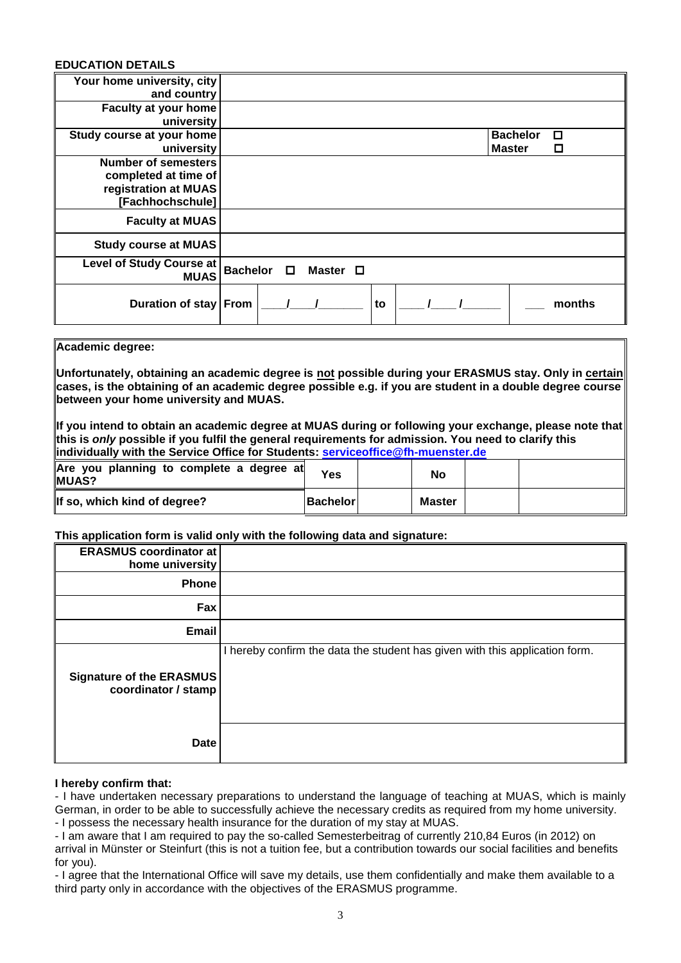### **EDUCATION DETAILS**

| Your home university, city<br>and country                                                      |                                       |                                            |
|------------------------------------------------------------------------------------------------|---------------------------------------|--------------------------------------------|
| Faculty at your home<br>university                                                             |                                       |                                            |
| Study course at your home<br>university                                                        |                                       | □<br><b>Bachelor</b><br><b>Master</b><br>□ |
| <b>Number of semesters</b><br>completed at time of<br>registration at MUAS<br>[Fachhochschule] |                                       |                                            |
| <b>Faculty at MUAS</b>                                                                         |                                       |                                            |
| <b>Study course at MUAS</b>                                                                    |                                       |                                            |
| <b>Level of Study Course at</b><br><b>MUAS</b>                                                 | <b>Bachelor</b><br>Master □<br>$\Box$ |                                            |
| Duration of stay From                                                                          | to                                    | months                                     |

**Academic degree:**

**Unfortunately, obtaining an academic degree is not possible during your ERASMUS stay. Only in certain cases, is the obtaining of an academic degree possible e.g. if you are student in a double degree course between your home university and MUAS.**

**If you intend to obtain an academic degree at MUAS during or following your exchange, please note that this is** *only* **possible if you fulfil the general requirements for admission. You need to clarify this individually with the Service Office for Students: [serviceoffice@fh-muenster.de](mailto:serviceoffice@fh-muenster.de)**

| Are you planning to complete a degree at<br>MUAS? | Yes             | No     |  |
|---------------------------------------------------|-----------------|--------|--|
| If so, which kind of degree?                      | <b>Bachelor</b> | Master |  |

**This application form is valid only with the following data and signature:**

| <b>ERASMUS coordinator at</b><br>home university       |                                                                             |
|--------------------------------------------------------|-----------------------------------------------------------------------------|
| <b>Phone</b>                                           |                                                                             |
| Fax                                                    |                                                                             |
| <b>Email</b>                                           |                                                                             |
| <b>Signature of the ERASMUS</b><br>coordinator / stamp | I hereby confirm the data the student has given with this application form. |
| Date                                                   |                                                                             |

#### **I hereby confirm that:**

- I have undertaken necessary preparations to understand the language of teaching at MUAS, which is mainly German, in order to be able to successfully achieve the necessary credits as required from my home university.

- I possess the necessary health insurance for the duration of my stay at MUAS.

- I am aware that I am required to pay the so-called Semesterbeitrag of currently 210,84 Euros (in 2012) on arrival in Münster or Steinfurt (this is not a tuition fee, but a contribution towards our social facilities and benefits for you).

- I agree that the International Office will save my details, use them confidentially and make them available to a third party only in accordance with the objectives of the ERASMUS programme.